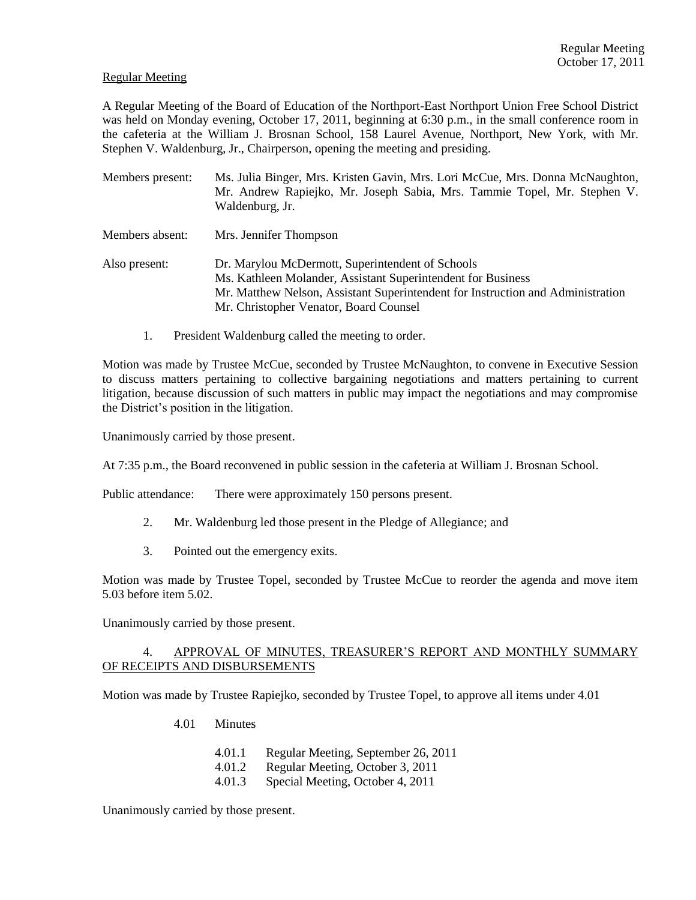### Regular Meeting

A Regular Meeting of the Board of Education of the Northport-East Northport Union Free School District was held on Monday evening, October 17, 2011, beginning at 6:30 p.m., in the small conference room in the cafeteria at the William J. Brosnan School, 158 Laurel Avenue, Northport, New York, with Mr. Stephen V. Waldenburg, Jr., Chairperson, opening the meeting and presiding.

- Members present: Ms. Julia Binger, Mrs. Kristen Gavin, Mrs. Lori McCue, Mrs. Donna McNaughton, Mr. Andrew Rapiejko, Mr. Joseph Sabia, Mrs. Tammie Topel, Mr. Stephen V. Waldenburg, Jr. Members absent: Mrs. Jennifer Thompson Also present: Dr. Marylou McDermott, Superintendent of Schools Ms. Kathleen Molander, Assistant Superintendent for Business Mr. Matthew Nelson, Assistant Superintendent for Instruction and Administration Mr. Christopher Venator, Board Counsel
	- 1. President Waldenburg called the meeting to order.

Motion was made by Trustee McCue, seconded by Trustee McNaughton, to convene in Executive Session to discuss matters pertaining to collective bargaining negotiations and matters pertaining to current litigation, because discussion of such matters in public may impact the negotiations and may compromise the District's position in the litigation.

Unanimously carried by those present.

At 7:35 p.m., the Board reconvened in public session in the cafeteria at William J. Brosnan School.

Public attendance: There were approximately 150 persons present.

- 2. Mr. Waldenburg led those present in the Pledge of Allegiance; and
- 3. Pointed out the emergency exits.

Motion was made by Trustee Topel, seconded by Trustee McCue to reorder the agenda and move item 5.03 before item 5.02.

Unanimously carried by those present.

# 4. APPROVAL OF MINUTES, TREASURER'S REPORT AND MONTHLY SUMMARY OF RECEIPTS AND DISBURSEMENTS

Motion was made by Trustee Rapiejko, seconded by Trustee Topel, to approve all items under 4.01

- 4.01 Minutes
	- 4.01.1 Regular Meeting, September 26, 2011
	- 4.01.2 Regular Meeting, October 3, 2011
	- 4.01.3 Special Meeting, October 4, 2011

Unanimously carried by those present.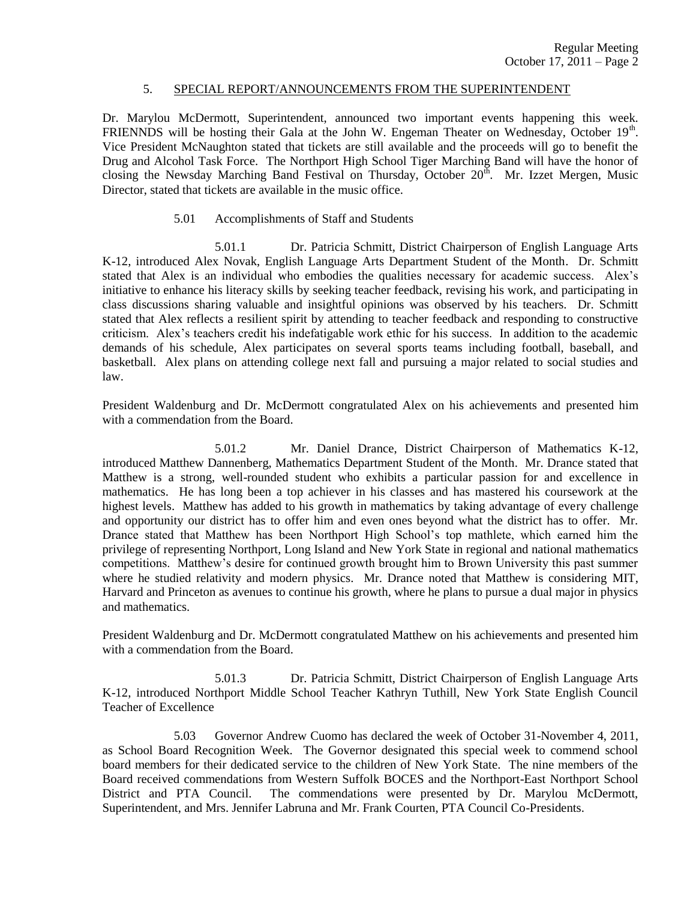## 5. SPECIAL REPORT/ANNOUNCEMENTS FROM THE SUPERINTENDENT

Dr. Marylou McDermott, Superintendent, announced two important events happening this week. FRIENNDS will be hosting their Gala at the John W. Engeman Theater on Wednesday, October 19<sup>th</sup>. Vice President McNaughton stated that tickets are still available and the proceeds will go to benefit the Drug and Alcohol Task Force. The Northport High School Tiger Marching Band will have the honor of closing the Newsday Marching Band Festival on Thursday, October  $20<sup>th</sup>$ . Mr. Izzet Mergen, Music Director, stated that tickets are available in the music office.

## 5.01 Accomplishments of Staff and Students

5.01.1 Dr. Patricia Schmitt, District Chairperson of English Language Arts K-12, introduced Alex Novak, English Language Arts Department Student of the Month. Dr. Schmitt stated that Alex is an individual who embodies the qualities necessary for academic success. Alex's initiative to enhance his literacy skills by seeking teacher feedback, revising his work, and participating in class discussions sharing valuable and insightful opinions was observed by his teachers. Dr. Schmitt stated that Alex reflects a resilient spirit by attending to teacher feedback and responding to constructive criticism. Alex's teachers credit his indefatigable work ethic for his success. In addition to the academic demands of his schedule, Alex participates on several sports teams including football, baseball, and basketball. Alex plans on attending college next fall and pursuing a major related to social studies and law.

President Waldenburg and Dr. McDermott congratulated Alex on his achievements and presented him with a commendation from the Board.

5.01.2 Mr. Daniel Drance, District Chairperson of Mathematics K-12, introduced Matthew Dannenberg, Mathematics Department Student of the Month. Mr. Drance stated that Matthew is a strong, well-rounded student who exhibits a particular passion for and excellence in mathematics. He has long been a top achiever in his classes and has mastered his coursework at the highest levels. Matthew has added to his growth in mathematics by taking advantage of every challenge and opportunity our district has to offer him and even ones beyond what the district has to offer. Mr. Drance stated that Matthew has been Northport High School's top mathlete, which earned him the privilege of representing Northport, Long Island and New York State in regional and national mathematics competitions. Matthew's desire for continued growth brought him to Brown University this past summer where he studied relativity and modern physics. Mr. Drance noted that Matthew is considering MIT, Harvard and Princeton as avenues to continue his growth, where he plans to pursue a dual major in physics and mathematics.

President Waldenburg and Dr. McDermott congratulated Matthew on his achievements and presented him with a commendation from the Board.

5.01.3 Dr. Patricia Schmitt, District Chairperson of English Language Arts K-12, introduced Northport Middle School Teacher Kathryn Tuthill, New York State English Council Teacher of Excellence

5.03 Governor Andrew Cuomo has declared the week of October 31-November 4, 2011, as School Board Recognition Week. The Governor designated this special week to commend school board members for their dedicated service to the children of New York State. The nine members of the Board received commendations from Western Suffolk BOCES and the Northport-East Northport School District and PTA Council. The commendations were presented by Dr. Marylou McDermott, Superintendent, and Mrs. Jennifer Labruna and Mr. Frank Courten, PTA Council Co-Presidents.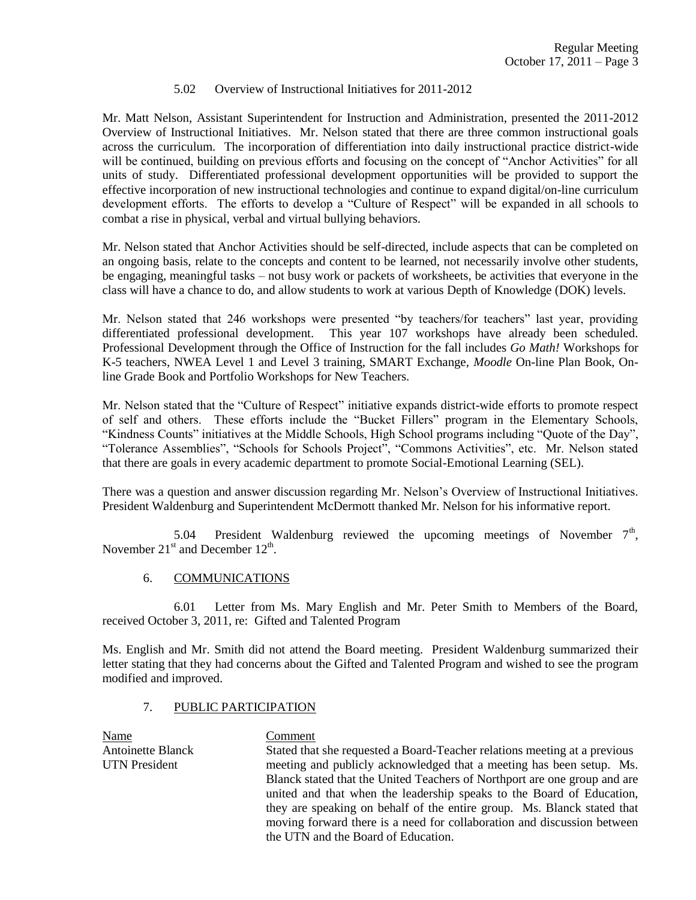## 5.02 Overview of Instructional Initiatives for 2011-2012

Mr. Matt Nelson, Assistant Superintendent for Instruction and Administration, presented the 2011-2012 Overview of Instructional Initiatives. Mr. Nelson stated that there are three common instructional goals across the curriculum. The incorporation of differentiation into daily instructional practice district-wide will be continued, building on previous efforts and focusing on the concept of "Anchor Activities" for all units of study. Differentiated professional development opportunities will be provided to support the effective incorporation of new instructional technologies and continue to expand digital/on-line curriculum development efforts. The efforts to develop a "Culture of Respect" will be expanded in all schools to combat a rise in physical, verbal and virtual bullying behaviors.

Mr. Nelson stated that Anchor Activities should be self-directed, include aspects that can be completed on an ongoing basis, relate to the concepts and content to be learned, not necessarily involve other students, be engaging, meaningful tasks – not busy work or packets of worksheets, be activities that everyone in the class will have a chance to do, and allow students to work at various Depth of Knowledge (DOK) levels.

Mr. Nelson stated that 246 workshops were presented "by teachers/for teachers" last year, providing differentiated professional development. This year 107 workshops have already been scheduled. Professional Development through the Office of Instruction for the fall includes *Go Math!* Workshops for K-5 teachers, NWEA Level 1 and Level 3 training, SMART Exchange, *Moodle* On-line Plan Book, Online Grade Book and Portfolio Workshops for New Teachers.

Mr. Nelson stated that the "Culture of Respect" initiative expands district-wide efforts to promote respect of self and others. These efforts include the "Bucket Fillers" program in the Elementary Schools, "Kindness Counts" initiatives at the Middle Schools, High School programs including "Quote of the Day", "Tolerance Assemblies", "Schools for Schools Project", "Commons Activities", etc. Mr. Nelson stated that there are goals in every academic department to promote Social-Emotional Learning (SEL).

There was a question and answer discussion regarding Mr. Nelson's Overview of Instructional Initiatives. President Waldenburg and Superintendent McDermott thanked Mr. Nelson for his informative report.

5.04 President Waldenburg reviewed the upcoming meetings of November  $7<sup>th</sup>$ , November  $21<sup>st</sup>$  and December  $12<sup>th</sup>$ .

# 6. COMMUNICATIONS

6.01 Letter from Ms. Mary English and Mr. Peter Smith to Members of the Board, received October 3, 2011, re: Gifted and Talented Program

Ms. English and Mr. Smith did not attend the Board meeting. President Waldenburg summarized their letter stating that they had concerns about the Gifted and Talented Program and wished to see the program modified and improved.

## 7. PUBLIC PARTICIPATION

Name Comment

Antoinette Blanck Stated that she requested a Board-Teacher relations meeting at a previous UTN President meeting and publicly acknowledged that a meeting has been setup. Ms. Blanck stated that the United Teachers of Northport are one group and are united and that when the leadership speaks to the Board of Education, they are speaking on behalf of the entire group. Ms. Blanck stated that moving forward there is a need for collaboration and discussion between the UTN and the Board of Education.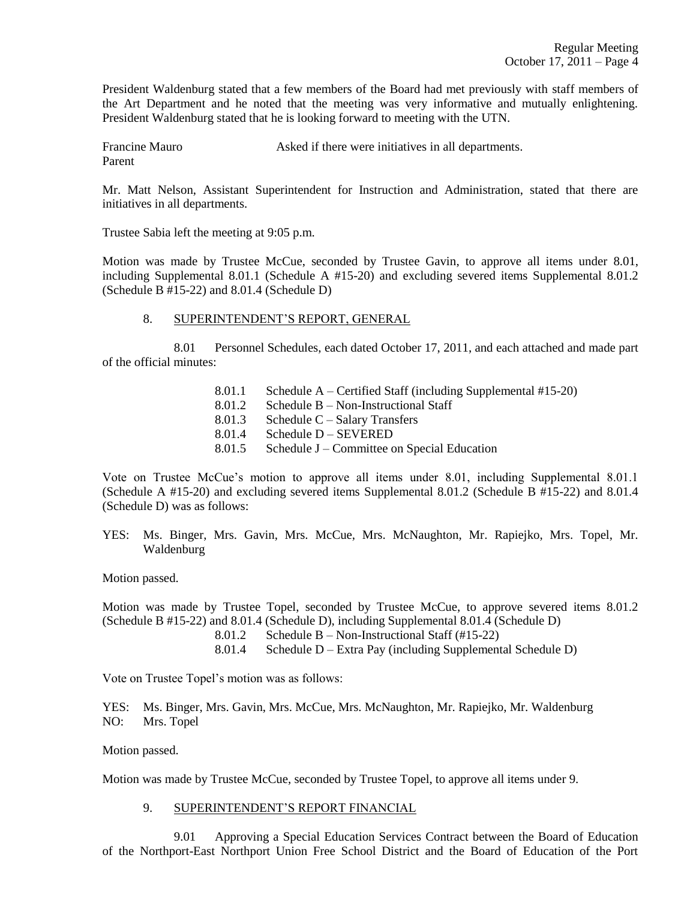President Waldenburg stated that a few members of the Board had met previously with staff members of the Art Department and he noted that the meeting was very informative and mutually enlightening. President Waldenburg stated that he is looking forward to meeting with the UTN.

Francine Mauro **Asked** if there were initiatives in all departments. Parent

Mr. Matt Nelson, Assistant Superintendent for Instruction and Administration, stated that there are initiatives in all departments.

Trustee Sabia left the meeting at 9:05 p.m.

Motion was made by Trustee McCue, seconded by Trustee Gavin, to approve all items under 8.01, including Supplemental 8.01.1 (Schedule A #15-20) and excluding severed items Supplemental 8.01.2 (Schedule B #15-22) and 8.01.4 (Schedule D)

## 8. SUPERINTENDENT'S REPORT, GENERAL

8.01 Personnel Schedules, each dated October 17, 2011, and each attached and made part of the official minutes:

> 8.01.1 Schedule A – Certified Staff (including Supplemental #15-20) 8.01.2 Schedule B – Non-Instructional Staff 8.01.3 Schedule C – Salary Transfers 8.01.4 Schedule D – SEVERED 8.01.5 Schedule J – Committee on Special Education

Vote on Trustee McCue's motion to approve all items under 8.01, including Supplemental 8.01.1 (Schedule A #15-20) and excluding severed items Supplemental 8.01.2 (Schedule B #15-22) and 8.01.4 (Schedule D) was as follows:

YES: Ms. Binger, Mrs. Gavin, Mrs. McCue, Mrs. McNaughton, Mr. Rapiejko, Mrs. Topel, Mr. Waldenburg

Motion passed.

Motion was made by Trustee Topel, seconded by Trustee McCue, to approve severed items 8.01.2 (Schedule B #15-22) and 8.01.4 (Schedule D), including Supplemental 8.01.4 (Schedule D)

- 8.01.2 Schedule B Non-Instructional Staff (#15-22)
- 8.01.4 Schedule D Extra Pay (including Supplemental Schedule D)

Vote on Trustee Topel's motion was as follows:

YES: Ms. Binger, Mrs. Gavin, Mrs. McCue, Mrs. McNaughton, Mr. Rapiejko, Mr. Waldenburg NO: Mrs. Topel

Motion passed.

Motion was made by Trustee McCue, seconded by Trustee Topel, to approve all items under 9.

# 9. SUPERINTENDENT'S REPORT FINANCIAL

9.01 Approving a Special Education Services Contract between the Board of Education of the Northport-East Northport Union Free School District and the Board of Education of the Port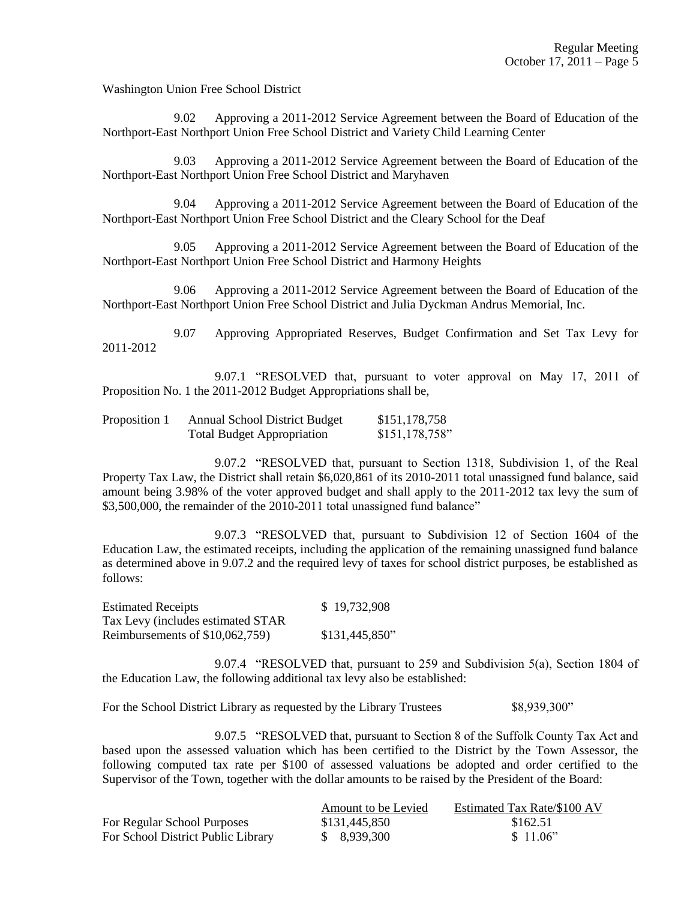Washington Union Free School District

9.02 Approving a 2011-2012 Service Agreement between the Board of Education of the Northport-East Northport Union Free School District and Variety Child Learning Center

9.03 Approving a 2011-2012 Service Agreement between the Board of Education of the Northport-East Northport Union Free School District and Maryhaven

9.04 Approving a 2011-2012 Service Agreement between the Board of Education of the Northport-East Northport Union Free School District and the Cleary School for the Deaf

9.05 Approving a 2011-2012 Service Agreement between the Board of Education of the Northport-East Northport Union Free School District and Harmony Heights

9.06 Approving a 2011-2012 Service Agreement between the Board of Education of the Northport-East Northport Union Free School District and Julia Dyckman Andrus Memorial, Inc.

9.07 Approving Appropriated Reserves, Budget Confirmation and Set Tax Levy for 2011-2012

9.07.1 "RESOLVED that, pursuant to voter approval on May 17, 2011 of Proposition No. 1 the 2011-2012 Budget Appropriations shall be,

| Proposition 1 | <b>Annual School District Budget</b> | \$151,178,758    |
|---------------|--------------------------------------|------------------|
|               | <b>Total Budget Appropriation</b>    | \$151, 178, 758" |

9.07.2 "RESOLVED that, pursuant to Section 1318, Subdivision 1, of the Real Property Tax Law, the District shall retain \$6,020,861 of its 2010-2011 total unassigned fund balance, said amount being 3.98% of the voter approved budget and shall apply to the 2011-2012 tax levy the sum of \$3,500,000, the remainder of the 2010-2011 total unassigned fund balance"

9.07.3 "RESOLVED that, pursuant to Subdivision 12 of Section 1604 of the Education Law, the estimated receipts, including the application of the remaining unassigned fund balance as determined above in 9.07.2 and the required levy of taxes for school district purposes, be established as follows:

| <b>Estimated Receipts</b>          | \$19,732,908   |
|------------------------------------|----------------|
| Tax Levy (includes estimated STAR) |                |
| Reimbursements of $$10,062,759$ )  | \$131,445,850" |

9.07.4 "RESOLVED that, pursuant to 259 and Subdivision 5(a), Section 1804 of the Education Law, the following additional tax levy also be established:

For the School District Library as requested by the Library Trustees \$8,939,300"

9.07.5 "RESOLVED that, pursuant to Section 8 of the Suffolk County Tax Act and based upon the assessed valuation which has been certified to the District by the Town Assessor, the following computed tax rate per \$100 of assessed valuations be adopted and order certified to the Supervisor of the Town, together with the dollar amounts to be raised by the President of the Board:

|                                    | Amount to be Levied | Estimated Tax Rate/\$100 AV |
|------------------------------------|---------------------|-----------------------------|
| For Regular School Purposes        | \$131,445,850       | \$162.51                    |
| For School District Public Library | \$ 8,939,300        | \$11.06"                    |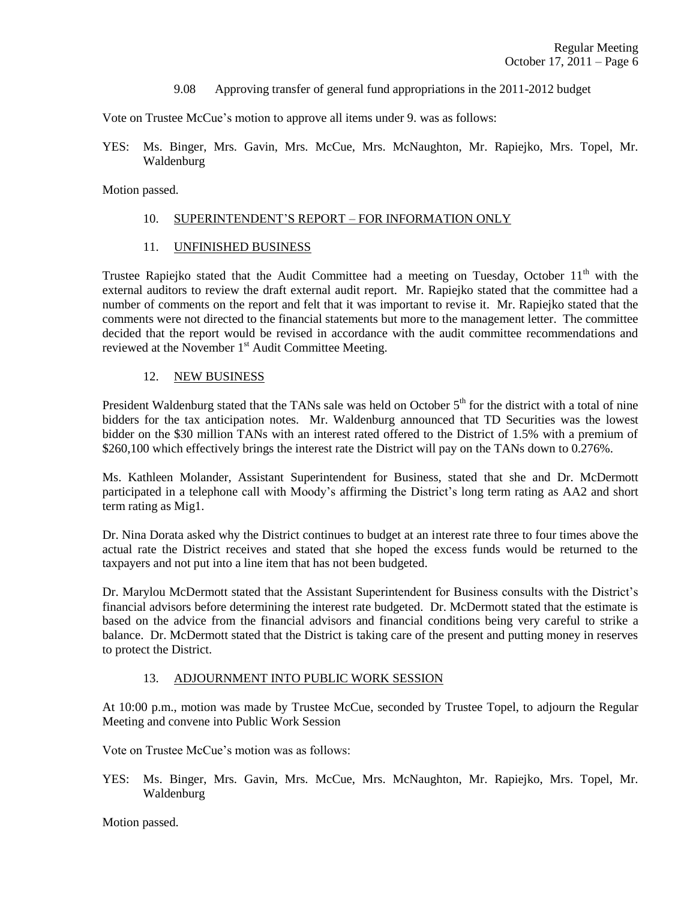9.08 Approving transfer of general fund appropriations in the 2011-2012 budget

Vote on Trustee McCue's motion to approve all items under 9. was as follows:

YES: Ms. Binger, Mrs. Gavin, Mrs. McCue, Mrs. McNaughton, Mr. Rapiejko, Mrs. Topel, Mr. Waldenburg

Motion passed.

## 10. SUPERINTENDENT'S REPORT – FOR INFORMATION ONLY

11. UNFINISHED BUSINESS

Trustee Rapiejko stated that the Audit Committee had a meeting on Tuesday, October 11<sup>th</sup> with the external auditors to review the draft external audit report. Mr. Rapiejko stated that the committee had a number of comments on the report and felt that it was important to revise it. Mr. Rapiejko stated that the comments were not directed to the financial statements but more to the management letter. The committee decided that the report would be revised in accordance with the audit committee recommendations and reviewed at the November 1<sup>st</sup> Audit Committee Meeting.

## 12. NEW BUSINESS

President Waldenburg stated that the TANs sale was held on October  $5<sup>th</sup>$  for the district with a total of nine bidders for the tax anticipation notes. Mr. Waldenburg announced that TD Securities was the lowest bidder on the \$30 million TANs with an interest rated offered to the District of 1.5% with a premium of \$260,100 which effectively brings the interest rate the District will pay on the TANs down to 0.276%.

Ms. Kathleen Molander, Assistant Superintendent for Business, stated that she and Dr. McDermott participated in a telephone call with Moody's affirming the District's long term rating as AA2 and short term rating as Mig1.

Dr. Nina Dorata asked why the District continues to budget at an interest rate three to four times above the actual rate the District receives and stated that she hoped the excess funds would be returned to the taxpayers and not put into a line item that has not been budgeted.

Dr. Marylou McDermott stated that the Assistant Superintendent for Business consults with the District's financial advisors before determining the interest rate budgeted. Dr. McDermott stated that the estimate is based on the advice from the financial advisors and financial conditions being very careful to strike a balance. Dr. McDermott stated that the District is taking care of the present and putting money in reserves to protect the District.

# 13. ADJOURNMENT INTO PUBLIC WORK SESSION

At 10:00 p.m., motion was made by Trustee McCue, seconded by Trustee Topel, to adjourn the Regular Meeting and convene into Public Work Session

Vote on Trustee McCue's motion was as follows:

YES: Ms. Binger, Mrs. Gavin, Mrs. McCue, Mrs. McNaughton, Mr. Rapiejko, Mrs. Topel, Mr. Waldenburg

Motion passed.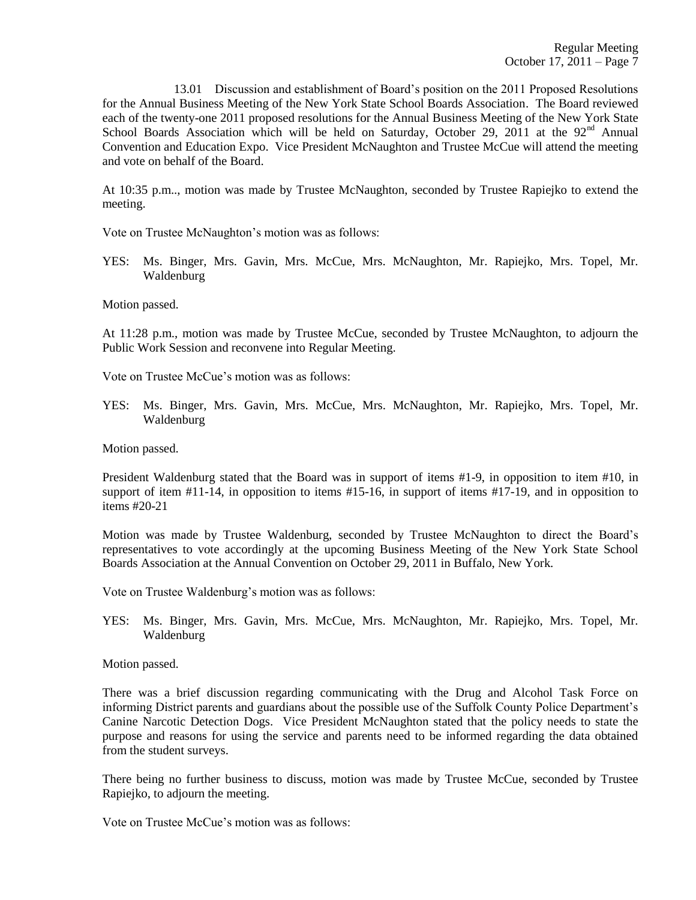13.01 Discussion and establishment of Board's position on the 2011 Proposed Resolutions for the Annual Business Meeting of the New York State School Boards Association. The Board reviewed each of the twenty-one 2011 proposed resolutions for the Annual Business Meeting of the New York State School Boards Association which will be held on Saturday, October 29, 2011 at the  $92<sup>nd</sup>$  Annual Convention and Education Expo. Vice President McNaughton and Trustee McCue will attend the meeting and vote on behalf of the Board.

At 10:35 p.m.., motion was made by Trustee McNaughton, seconded by Trustee Rapiejko to extend the meeting.

Vote on Trustee McNaughton's motion was as follows:

YES: Ms. Binger, Mrs. Gavin, Mrs. McCue, Mrs. McNaughton, Mr. Rapiejko, Mrs. Topel, Mr. Waldenburg

Motion passed.

At 11:28 p.m., motion was made by Trustee McCue, seconded by Trustee McNaughton, to adjourn the Public Work Session and reconvene into Regular Meeting.

Vote on Trustee McCue's motion was as follows:

YES: Ms. Binger, Mrs. Gavin, Mrs. McCue, Mrs. McNaughton, Mr. Rapiejko, Mrs. Topel, Mr. Waldenburg

Motion passed.

President Waldenburg stated that the Board was in support of items #1-9, in opposition to item #10, in support of item #11-14, in opposition to items #15-16, in support of items #17-19, and in opposition to items #20-21

Motion was made by Trustee Waldenburg, seconded by Trustee McNaughton to direct the Board's representatives to vote accordingly at the upcoming Business Meeting of the New York State School Boards Association at the Annual Convention on October 29, 2011 in Buffalo, New York.

Vote on Trustee Waldenburg's motion was as follows:

YES: Ms. Binger, Mrs. Gavin, Mrs. McCue, Mrs. McNaughton, Mr. Rapiejko, Mrs. Topel, Mr. Waldenburg

Motion passed.

There was a brief discussion regarding communicating with the Drug and Alcohol Task Force on informing District parents and guardians about the possible use of the Suffolk County Police Department's Canine Narcotic Detection Dogs. Vice President McNaughton stated that the policy needs to state the purpose and reasons for using the service and parents need to be informed regarding the data obtained from the student surveys.

There being no further business to discuss, motion was made by Trustee McCue, seconded by Trustee Rapiejko, to adjourn the meeting.

Vote on Trustee McCue's motion was as follows: